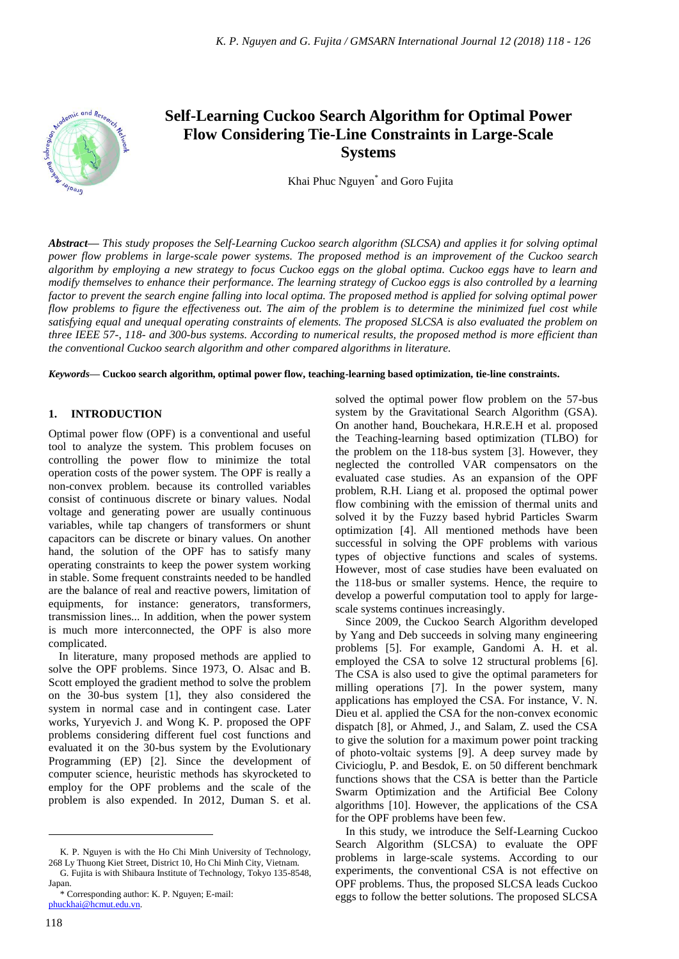

# **Self-Learning Cuckoo Search Algorithm for Optimal Power Flow Considering Tie-Line Constraints in Large-Scale Systems**

Khai Phuc Nguyen\* and Goro Fujita

*Abstract***—** *This study proposes the Self-Learning Cuckoo search algorithm (SLCSA) and applies it for solving optimal power flow problems in large-scale power systems. The proposed method is an improvement of the Cuckoo search algorithm by employing a new strategy to focus Cuckoo eggs on the global optima. Cuckoo eggs have to learn and modify themselves to enhance their performance. The learning strategy of Cuckoo eggs is also controlled by a learning factor to prevent the search engine falling into local optima. The proposed method is applied for solving optimal power flow problems to figure the effectiveness out. The aim of the problem is to determine the minimized fuel cost while satisfying equal and unequal operating constraints of elements. The proposed SLCSA is also evaluated the problem on three IEEE 57-, 118- and 300-bus systems. According to numerical results, the proposed method is more efficient than the conventional Cuckoo search algorithm and other compared algorithms in literature.*

*Keywords***— Cuckoo search algorithm, optimal power flow, teaching-learning based optimization, tie-line constraints.**

#### **1. INTRODUCTION**

Optimal power flow (OPF) is a conventional and useful tool to analyze the system. This problem focuses on controlling the power flow to minimize the total operation costs of the power system. The OPF is really a non-convex problem. because its controlled variables consist of continuous discrete or binary values. Nodal voltage and generating power are usually continuous variables, while tap changers of transformers or shunt capacitors can be discrete or binary values. On another hand, the solution of the OPF has to satisfy many operating constraints to keep the power system working in stable. Some frequent constraints needed to be handled are the balance of real and reactive powers, limitation of equipments, for instance: generators, transformers, transmission lines... In addition, when the power system is much more interconnected, the OPF is also more complicated.

In literature, many proposed methods are applied to solve the OPF problems. Since 1973, O. Alsac and B. Scott employed the gradient method to solve the problem on the 30-bus system [1], they also considered the system in normal case and in contingent case. Later works, Yuryevich J. and Wong K. P. proposed the OPF problems considering different fuel cost functions and evaluated it on the 30-bus system by the Evolutionary Programming (EP) [2]. Since the development of computer science, heuristic methods has skyrocketed to employ for the OPF problems and the scale of the problem is also expended. In 2012, Duman S. et al.

solved the optimal power flow problem on the 57-bus system by the Gravitational Search Algorithm (GSA). On another hand, Bouchekara, H.R.E.H et al. proposed the Teaching-learning based optimization (TLBO) for the problem on the 118-bus system [3]. However, they neglected the controlled VAR compensators on the evaluated case studies. As an expansion of the OPF problem, R.H. Liang et al. proposed the optimal power flow combining with the emission of thermal units and solved it by the Fuzzy based hybrid Particles Swarm optimization [4]. All mentioned methods have been successful in solving the OPF problems with various types of objective functions and scales of systems. However, most of case studies have been evaluated on the 118-bus or smaller systems. Hence, the require to develop a powerful computation tool to apply for largescale systems continues increasingly.

Since 2009, the Cuckoo Search Algorithm developed by Yang and Deb succeeds in solving many engineering problems [5]. For example, Gandomi A. H. et al. employed the CSA to solve 12 structural problems [6]. The CSA is also used to give the optimal parameters for milling operations [7]. In the power system, many applications has employed the CSA. For instance, V. N. Dieu et al. applied the CSA for the non-convex economic dispatch [8], or Ahmed, J., and Salam, Z. used the CSA to give the solution for a maximum power point tracking of photo-voltaic systems [9]. A deep survey made by Civicioglu, P. and Besdok, E. on 50 different benchmark functions shows that the CSA is better than the Particle Swarm Optimization and the Artificial Bee Colony algorithms [10]. However, the applications of the CSA for the OPF problems have been few.

In this study, we introduce the Self-Learning Cuckoo Search Algorithm (SLCSA) to evaluate the OPF problems in large-scale systems. According to our experiments, the conventional CSA is not effective on OPF problems. Thus, the proposed SLCSA leads Cuckoo eggs to follow the better solutions. The proposed SLCSA

 $\overline{a}$ 

K. P. Nguyen is with the Ho Chi Minh University of Technology, 268 Ly Thuong Kiet Street, District 10, Ho Chi Minh City, Vietnam.

G. Fujita is with Shibaura Institute of Technology, Tokyo 135-8548, Japan.

<sup>\*</sup> Corresponding author: K. P. Nguyen; E-mail: [phuckhai@hcmut.edu.vn.](mailto:phuckhai@hcmut.edu.vn)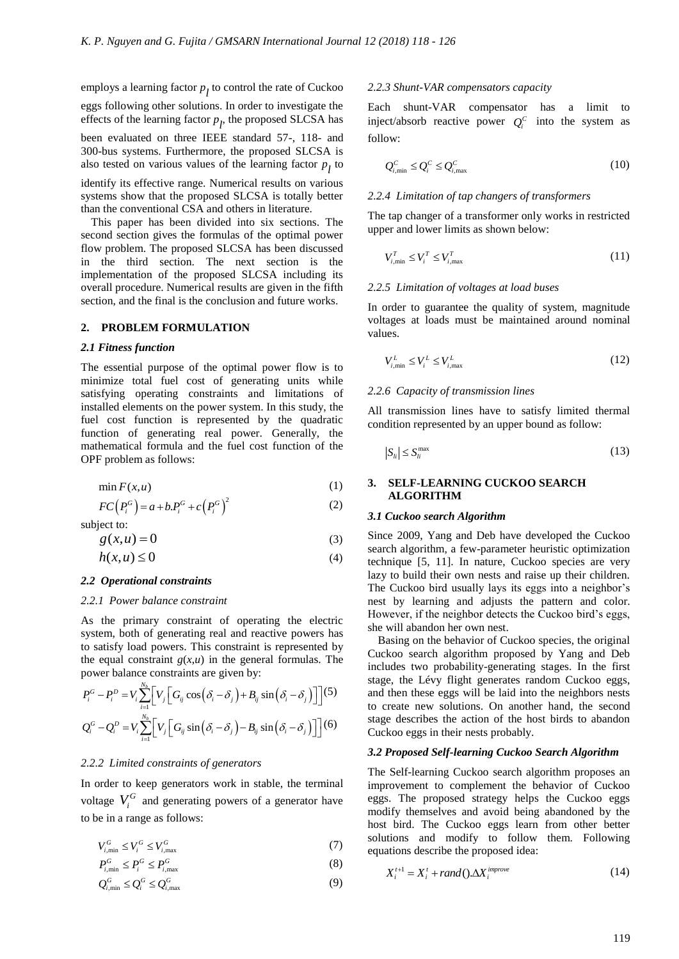employs a learning factor *p l* to control the rate of Cuckoo

eggs following other solutions. In order to investigate the effects of the learning factor  $p_l$ , the proposed SLCSA has been evaluated on three IEEE standard 57-, 118- and 300-bus systems. Furthermore, the proposed SLCSA is also tested on various values of the learning factor  $p_l$  to

identify its effective range. Numerical results on various systems show that the proposed SLCSA is totally better than the conventional CSA and others in literature.

This paper has been divided into six sections. The second section gives the formulas of the optimal power flow problem. The proposed SLCSA has been discussed in the third section. The next section is the implementation of the proposed SLCSA including its overall procedure. Numerical results are given in the fifth section, and the final is the conclusion and future works.

#### **2. PROBLEM FORMULATION**

#### *2.1 Fitness function*

The essential purpose of the optimal power flow is to minimize total fuel cost of generating units while satisfying operating constraints and limitations of installed elements on the power system. In this study, the fuel cost function is represented by the quadratic function of generating real power. Generally, the mathematical formula and the fuel cost function of the OPF problem as follows:

$$
\min F(x, u) \tag{1}
$$

$$
FC(P_i^G) = a + b.P_i^G + c(P_i^G)^2
$$
\n(2)

subject to:

$$
g(x, u) = 0 \tag{3}
$$

$$
h(x, u) \le 0 \tag{4}
$$

# *2.2 Operational constraints*

#### *2.2.1 Power balance constraint*

As the primary constraint of operating the electric system, both of generating real and reactive powers has to satisfy load powers. This constraint is represented by the equal constraint  $g(x, u)$  in the general formulas. The

power balance constraints are given by:  
\n
$$
P_i^G - P_i^D = V_i \sum_{i=1}^{N_b} \left[ V_j \left[ G_{ij} \cos \left( \delta_i - \delta_j \right) + B_{ij} \sin \left( \delta_i - \delta_j \right) \right] \right]^{(5)}
$$
\n
$$
Q_i^G - Q_i^D = V_i \sum_{i=1}^{N_b} \left[ V_j \left[ G_{ij} \sin \left( \delta_i - \delta_j \right) - B_{ij} \sin \left( \delta_i - \delta_j \right) \right] \right]^{(6)}
$$

#### *2.2.2 Limited constraints of generators*

In order to keep generators work in stable, the terminal voltage  $V_i^G$  and generating powers of a generator have to be in a range as follows:

$$
V_{i,\min}^G \le V_i^G \le V_{i,\max}^G \tag{7}
$$

$$
P_{i,\min}^G \le P_i^G \le P_{i,\max}^G\tag{8}
$$

$$
Q_{i,\min}^G \le Q_i^G \le Q_{i,\max}^G \tag{9}
$$

#### *2.2.3 Shunt-VAR compensators capacity*

Each shunt-VAR compensator has a limit to inject/absorb reactive power  $Q_i^c$  into the system as follow:

$$
Q_{i,\min}^C \le Q_i^C \le Q_{i,\max}^C \tag{10}
$$

#### *2.2.4 Limitation of tap changers of transformers*

The tap changer of a transformer only works in restricted upper and lower limits as shown below:

$$
V_{i,\min}^T \le V_i^T \le V_{i,\max}^T \tag{11}
$$

#### *2.2.5 Limitation of voltages at load buses*

In order to guarantee the quality of system, magnitude voltages at loads must be maintained around nominal values.

$$
V_{i,\min}^L \le V_i^L \le V_{i,\max}^L \tag{12}
$$

## *2.2.6 Capacity of transmission lines*

All transmission lines have to satisfy limited thermal condition represented by an upper bound as follow:

$$
|S_{ii}| \le S_{ii}^{\max} \tag{13}
$$

# **3. SELF-LEARNING CUCKOO SEARCH ALGORITHM**

#### *3.1 Cuckoo search Algorithm*

Since 2009, Yang and Deb have developed the Cuckoo search algorithm, a few-parameter heuristic optimization technique [5, 11]. In nature, Cuckoo species are very lazy to build their own nests and raise up their children. The Cuckoo bird usually lays its eggs into a neighbor's nest by learning and adjusts the pattern and color. However, if the neighbor detects the Cuckoo bird's eggs, she will abandon her own nest.

Basing on the behavior of Cuckoo species, the original Cuckoo search algorithm proposed by Yang and Deb includes two probability-generating stages. In the first stage, the Lévy flight generates random Cuckoo eggs, and then these eggs will be laid into the neighbors nests to create new solutions. On another hand, the second stage describes the action of the host birds to abandon Cuckoo eggs in their nests probably.

# *3.2 Proposed Self-learning Cuckoo Search Algorithm*

The Self-learning Cuckoo search algorithm proposes an improvement to complement the behavior of Cuckoo eggs. The proposed strategy helps the Cuckoo eggs modify themselves and avoid being abandoned by the host bird. The Cuckoo eggs learn from other better solutions and modify to follow them. Following equations describe the proposed idea:

$$
X_i^{t+1} = X_i^t + rand(\mathbf{0}.\Delta X_i^{improve}) \tag{14}
$$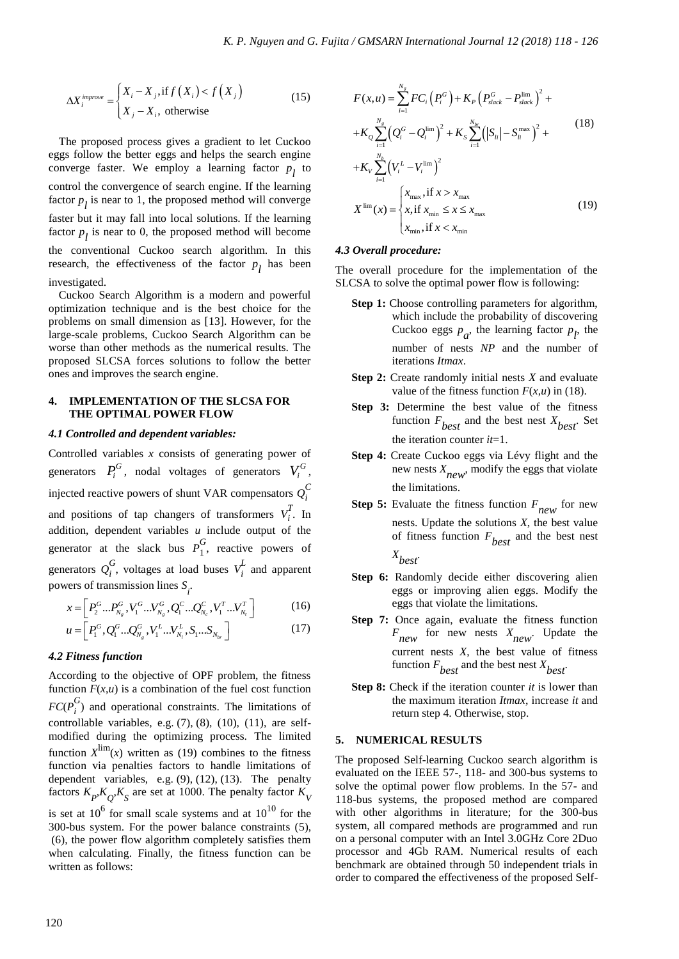$$
\Delta X_i^{improve} = \begin{cases} X_i - X_j, \text{if } f\left(X_i\right) < f\left(X_j\right) \\ X_j - X_i, \text{ otherwise} \end{cases} \tag{15}
$$

The proposed process gives a gradient to let Cuckoo eggs follow the better eggs and helps the search engine converge faster. We employ a learning factor  $p_l$  to control the convergence of search engine. If the learning factor  $p_l$  is near to 1, the proposed method will converge faster but it may fall into local solutions. If the learning factor  $p_l$  is near to 0, the proposed method will become the conventional Cuckoo search algorithm. In this research, the effectiveness of the factor  $p_l$  has been investigated.

Cuckoo Search Algorithm is a modern and powerful optimization technique and is the best choice for the problems on small dimension as [13]. However, for the large-scale problems, Cuckoo Search Algorithm can be worse than other methods as the numerical results. The proposed SLCSA forces solutions to follow the better ones and improves the search engine.

# **4. IMPLEMENTATION OF THE SLCSA FOR THE OPTIMAL POWER FLOW**

# *4.1 Controlled and dependent variables:*

Controlled variables *x* consists of generating power of generators  $P_i^G$ , nodal voltages of generators  $V_i^G$ , injected reactive powers of shunt VAR compensators  $Q_i^C$ *i* and positions of tap changers of transformers  $V_i^T$  $\int_{i}^{2}$ . In addition, dependent variables *u* include output of the generator at the slack bus  $P_1^G$  $\int_{1}^{\infty}$ , reactive powers of generators *Q G*  $\sum_{i}^{G}$ , voltages at load buses  $V_i^L$  $\frac{1}{i}$  and apparent

powers of transmission lines 
$$
S_i
$$
.  
\n
$$
x = \left[ P_2^G \dots P_{N_g}^G, V_1^G \dots V_{N_g}^G, Q_1^C \dots Q_{N_c}^C, V_1^T \dots V_{N_t}^T \right]
$$
\n
$$
u = \left[ P_2^G \cdot Q_2^G \cdot Q_1^G \cdot V_1^L \cdot V_2^L \cdot S \cdot S \cdot W_2^T \right]
$$
\n(16)

$$
\begin{aligned}\n &x - \left[ \begin{array}{cc} I_2 & \dots I_{N_g}, V_1 & \dots V_{N_g}, Q_1 & \dots Q_{N_c}, V_1 & \dots V_{N_t} \end{array} \right] \\
&= \left[ P_1^G, Q_1^G \dots Q_{N_g}^G, V_1^L \dots V_{N_t}^L, S_1 \dots S_{N_{br}} \right]\n \end{aligned}\n \tag{17}
$$

# *4.2 Fitness function*

According to the objective of OPF problem, the fitness function  $F(x, u)$  is a combination of the fuel cost function  $FC(P_i^G)$  $i$ <sup>o</sup>) and operational constraints. The limitations of controllable variables, e.g. (7), (8), (10), (11), are selfmodified during the optimizing process. The limited function  $X^{\text{lim}}(x)$  written as (19) combines to the fitness function via penalties factors to handle limitations of dependent variables, e.g. (9), (12), (13). The penalty factors  $K_p$ , $K_Q$ , $K_S$  are set at 1000. The penalty factor  $K_V$ is set at  $10^6$  for small scale systems and at  $10^{10}$  for the 300-bus system. For the power balance constraints (5), (6), the power flow algorithm completely satisfies them when calculating. Finally, the fitness function can be written as follows:

$$
F(x, u) = \sum_{i=1}^{N_g} F C_i (P_i^G) + K_P (P_{slack}^G - P_{slack}^{lim})^2 + K_Q \sum_{i=1}^{N_g} (Q_i^G - Q_i^{lim})^2 + K_S \sum_{i=1}^{N_{br}} (|S_{li}| - S_{li}^{max})^2 + K_V \sum_{i=1}^{N_b} (V_i^L - V_i^{lim})^2
$$
  

$$
X^{\lim}(x) = \begin{cases} x_{max}, \text{if } x > x_{max} \\ x, \text{if } x_{min} \le x \le x_{max} \\ x_{min}, \text{if } x < x_{min} \end{cases}
$$
 (19)

#### *4.3 Overall procedure:*

The overall procedure for the implementation of the SLCSA to solve the optimal power flow is following:

- **Step 1:** Choose controlling parameters for algorithm, which include the probability of discovering Cuckoo eggs  $p_a$ , the learning factor  $p_l$ , the number of nests *NP* and the number of iterations *Itmax*.
- **Step 2:** Create randomly initial nests *X* and evaluate value of the fitness function  $F(x, u)$  in (18).
- **Step 3:** Determine the best value of the fitness function  $F_{best}$  and the best nest  $X_{best}$ . Set the iteration counter *it*=1.
- **Step 4:** Create Cuckoo eggs via Lévy flight and the new nests *X new* , modify the eggs that violate the limitations.
- **Step 5:** Evaluate the fitness function *F new* for new nests. Update the solutions *X*, the best value of fitness function *F best* and the best nest *X best*.
- **Step 6:** Randomly decide either discovering alien eggs or improving alien eggs. Modify the eggs that violate the limitations.
- **Step 7:** Once again, evaluate the fitness function *F new* for new nests *X new* . Update the current nests *X*, the best value of fitness function  $F_{best}$  and the best nest  $X_{best}$ .
- **Step 8:** Check if the iteration counter *it* is lower than the maximum iteration *Itmax*, increase *it* and return step 4. Otherwise, stop.

# **5. NUMERICAL RESULTS**

The proposed Self-learning Cuckoo search algorithm is evaluated on the IEEE 57-, 118- and 300-bus systems to solve the optimal power flow problems. In the 57- and 118-bus systems, the proposed method are compared with other algorithms in literature; for the 300-bus system, all compared methods are programmed and run on a personal computer with an Intel 3.0GHz Core 2Duo processor and 4Gb RAM. Numerical results of each benchmark are obtained through 50 independent trials in order to compared the effectiveness of the proposed Self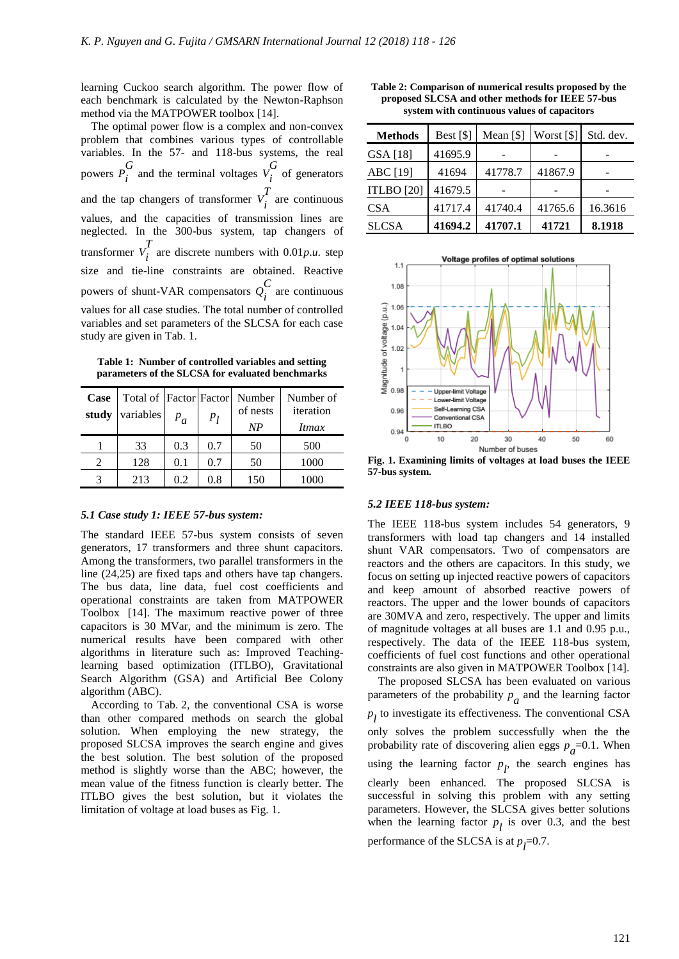learning Cuckoo search algorithm. The power flow of each benchmark is calculated by the Newton-Raphson method via the MATPOWER toolbox [14].

The optimal power flow is a complex and non-convex problem that combines various types of controllable variables. In the 57- and 118-bus systems, the real powers *P G*  $\sum_{i}$  and the terminal voltages  $V_i^G$  $\sum_{i}^{\infty}$  of generators and the tap changers of transformer  $V_i^T$  $\int_{i}^{1}$  are continuous values, and the capacities of transmission lines are neglected. In the 300-bus system, tap changers of transformer  $V_i^T$  $\int_{i}^{2}$  are discrete numbers with 0.01*p.u*. step size and tie-line constraints are obtained. Reactive powers of shunt-VAR compensators *Q C*  $\sum_{i}^{\infty}$  are continuous values for all case studies. The total number of controlled variables and set parameters of the SLCSA for each case study are given in Tab. 1.

**Table 1: Number of controlled variables and setting parameters of the SLCSA for evaluated benchmarks**

| Case<br>study | variables | $P_a$ | p <sub>I</sub> | Total of Factor Factor Number<br>of nests<br>NP | Number of<br>iteration<br>Itmax |
|---------------|-----------|-------|----------------|-------------------------------------------------|---------------------------------|
|               | 33        | 0.3   | 0.7            | 50                                              | 500                             |
|               | 128       | 0.1   | 0.7            | 50                                              | 1000                            |
|               | 213       | 0.2   | 0.8            | 150                                             | 1000                            |

#### *5.1 Case study 1: IEEE 57-bus system:*

The standard IEEE 57-bus system consists of seven generators, 17 transformers and three shunt capacitors. Among the transformers, two parallel transformers in the line (24,25) are fixed taps and others have tap changers. The bus data, line data, fuel cost coefficients and operational constraints are taken from MATPOWER Toolbox [14]. The maximum reactive power of three capacitors is 30 MVar, and the minimum is zero. The numerical results have been compared with other algorithms in literature such as: Improved Teachinglearning based optimization (ITLBO), Gravitational Search Algorithm (GSA) and Artificial Bee Colony algorithm (ABC).

According to Tab. 2, the conventional CSA is worse than other compared methods on search the global solution. When employing the new strategy, the proposed SLCSA improves the search engine and gives the best solution. The best solution of the proposed method is slightly worse than the ABC; however, the mean value of the fitness function is clearly better. The ITLBO gives the best solution, but it violates the limitation of voltage at load buses as Fig. 1.

**Table 2: Comparison of numerical results proposed by the proposed SLCSA and other methods for IEEE 57-bus system with continuous values of capacitors**

| <b>Methods</b>    | Best $[$]$ | Mean $[$]$ | Worst [\$] | Std. dev. |
|-------------------|------------|------------|------------|-----------|
| GSA [18]          | 41695.9    |            |            |           |
| ABC [19]          | 41694      | 41778.7    | 41867.9    |           |
| <b>ITLBO</b> [20] | 41679.5    |            |            |           |
| <b>CSA</b>        | 41717.4    | 41740.4    | 41765.6    | 16.3616   |
| <b>SLCSA</b>      | 41694.2    | 41707.1    | 41721      | 8.1918    |



**Fig. 1. Examining limits of voltages at load buses the IEEE 57-bus system.**

#### *5.2 IEEE 118-bus system:*

The IEEE 118-bus system includes 54 generators, 9 transformers with load tap changers and 14 installed shunt VAR compensators. Two of compensators are reactors and the others are capacitors. In this study, we focus on setting up injected reactive powers of capacitors and keep amount of absorbed reactive powers of reactors. The upper and the lower bounds of capacitors are 30MVA and zero, respectively. The upper and limits of magnitude voltages at all buses are 1.1 and 0.95 p.u., respectively. The data of the IEEE 118-bus system, coefficients of fuel cost functions and other operational constraints are also given in MATPOWER Toolbox [14].

The proposed SLCSA has been evaluated on various parameters of the probability  $p_a$  and the learning factor  $p_l$  to investigate its effectiveness. The conventional CSA only solves the problem successfully when the the probability rate of discovering alien eggs  $p_a$ =0.1. When using the learning factor  $p_l$ , the search engines has clearly been enhanced. The proposed SLCSA is successful in solving this problem with any setting parameters. However, the SLCSA gives better solutions when the learning factor  $p_l$  is over 0.3, and the best performance of the SLCSA is at  $p_l$ =0.7.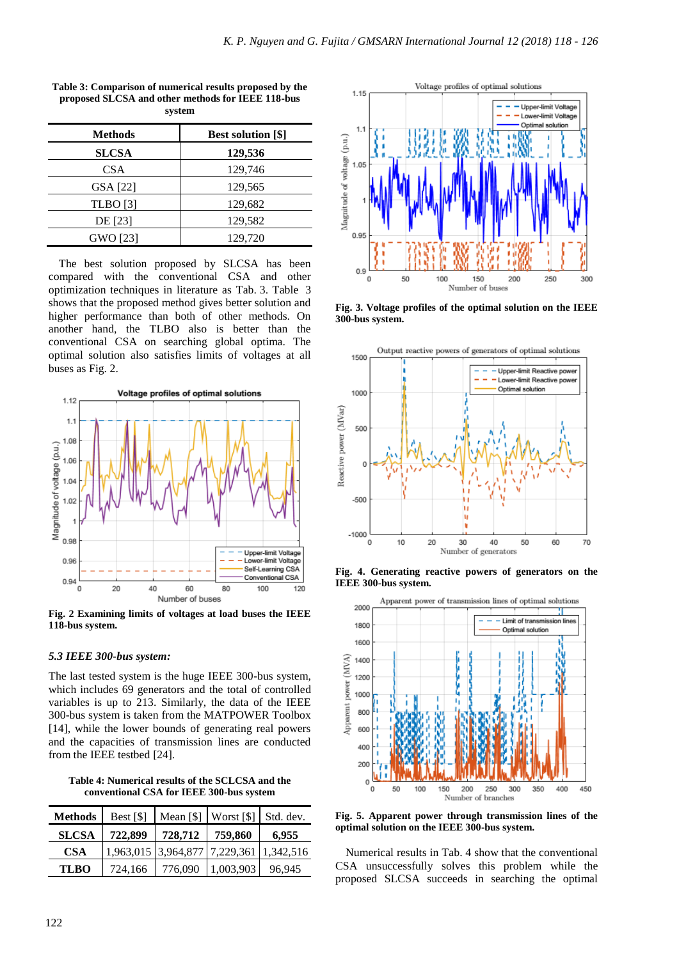| <b>Methods</b>  | <b>Best solution [\$]</b> |
|-----------------|---------------------------|
| <b>SLCSA</b>    | 129,536                   |
| <b>CSA</b>      | 129,746                   |
| GSA [22]        | 129,565                   |
| <b>TLBO</b> [3] | 129,682                   |
| DE [23]         | 129,582                   |
| GWO [23]        | 129,720                   |

**Table 3: Comparison of numerical results proposed by the proposed SLCSA and other methods for IEEE 118-bus system**

The best solution proposed by SLCSA has been compared with the conventional CSA and other optimization techniques in literature as Tab. 3. Table 3 shows that the proposed method gives better solution and higher performance than both of other methods. On another hand, the TLBO also is better than the conventional CSA on searching global optima. The optimal solution also satisfies limits of voltages at all buses as Fig. 2.



**Fig. 2 Examining limits of voltages at load buses the IEEE 118-bus system.**

# *5.3 IEEE 300-bus system:*

The last tested system is the huge IEEE 300-bus system, which includes 69 generators and the total of controlled variables is up to 213. Similarly, the data of the IEEE 300-bus system is taken from the MATPOWER Toolbox [14], while the lower bounds of generating real powers and the capacities of transmission lines are conducted from the IEEE testbed [24].

**Table 4: Numerical results of the SCLCSA and the conventional CSA for IEEE 300-bus system**

| Methods      | Best $[$]$ |         | Mean $\lceil \frac{5}{3} \rceil$ Worst $\lceil \frac{5}{3} \rceil$ Std. dev. |        |
|--------------|------------|---------|------------------------------------------------------------------------------|--------|
| <b>SLCSA</b> | 722,899    | 728,712 | 759,860                                                                      | 6.955  |
| <b>CSA</b>   |            |         | 1,963,015 3,964,877 7,229,361 1,342,516                                      |        |
| <b>TLBO</b>  | 724,166    | 776.090 | 1,003,903                                                                    | 96,945 |



**Fig. 3. Voltage profiles of the optimal solution on the IEEE 300-bus system.**



**Fig. 4. Generating reactive powers of generators on the IEEE 300-bus system.**



**Fig. 5. Apparent power through transmission lines of the optimal solution on the IEEE 300-bus system.**

Numerical results in Tab. 4 show that the conventional CSA unsuccessfully solves this problem while the proposed SLCSA succeeds in searching the optimal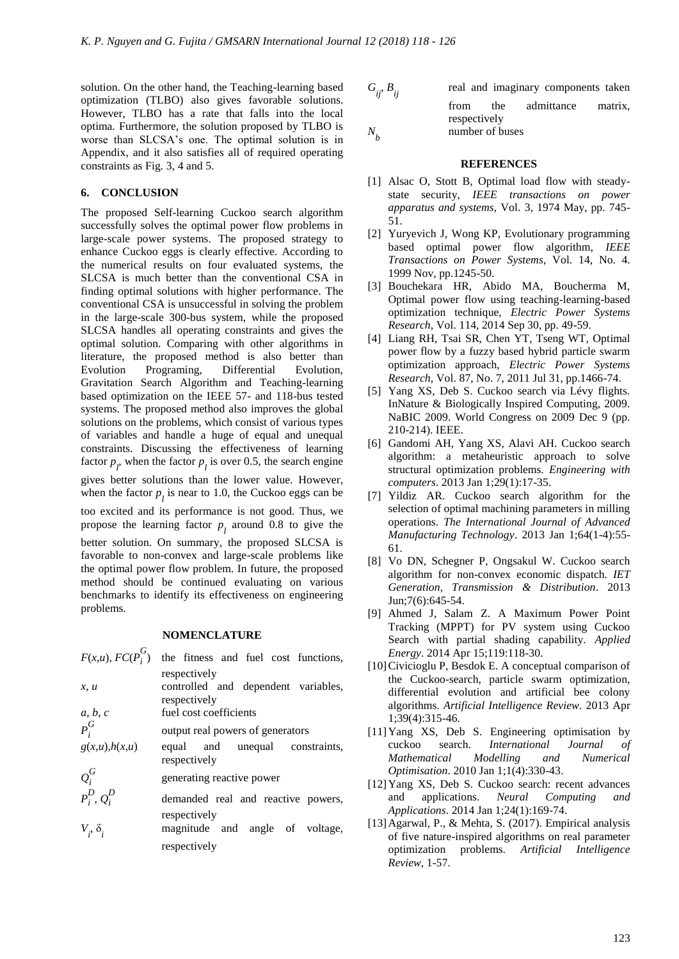solution. On the other hand, the Teaching-learning based optimization (TLBO) also gives favorable solutions. However, TLBO has a rate that falls into the local optima. Furthermore, the solution proposed by TLBO is worse than SLCSA's one. The optimal solution is in Appendix, and it also satisfies all of required operating constraints as Fig. 3, 4 and 5.

# **6. CONCLUSION**

The proposed Self-learning Cuckoo search algorithm successfully solves the optimal power flow problems in large-scale power systems. The proposed strategy to enhance Cuckoo eggs is clearly effective. According to the numerical results on four evaluated systems, the SLCSA is much better than the conventional CSA in finding optimal solutions with higher performance. The conventional CSA is unsuccessful in solving the problem in the large-scale 300-bus system, while the proposed SLCSA handles all operating constraints and gives the optimal solution. Comparing with other algorithms in literature, the proposed method is also better than Evolution Programing, Differential Evolution, Gravitation Search Algorithm and Teaching-learning based optimization on the IEEE 57- and 118-bus tested systems. The proposed method also improves the global solutions on the problems, which consist of various types of variables and handle a huge of equal and unequal constraints. Discussing the effectiveness of learning factor  $p_l$ , when the factor  $p_l$  is over 0.5, the search engine gives better solutions than the lower value. However, when the factor  $p_l$  is near to 1.0, the Cuckoo eggs can be too excited and its performance is not good. Thus, we propose the learning factor  $p_l$  around 0.8 to give the better solution. On summary, the proposed SLCSA is

favorable to non-convex and large-scale problems like the optimal power flow problem. In future, the proposed method should be continued evaluating on various benchmarks to identify its effectiveness on engineering problems.

# **NOMENCLATURE**

| $F(x,u)$ , $FC(P_i^G)$ | the fitness and fuel cost functions,                |
|------------------------|-----------------------------------------------------|
| x, u                   | respectively<br>controlled and dependent variables, |
|                        | respectively<br>fuel cost coefficients              |
| $a, b, c$<br>$P_i^G$   | output real powers of generators                    |
| $g(x,u)$ , $h(x,u)$    | equal and unequal constraints,<br>respectively      |
| $\varrho_{i}^{G}$      | generating reactive power                           |
| $P_i^D, Q_i^D$         | demanded real and reactive powers,                  |
| $V_i, \delta_i$        | respectively<br>magnitude and angle of voltage,     |
|                        | respectively                                        |

$$
G_{ij}, B_{ij}
$$
 real and imaginary components taken  
from the admittance matrix,  
respectively  

$$
N_b
$$
 number of buses

#### **REFERENCES**

- [1] Alsac O, Stott B, Optimal load flow with steadystate security, *IEEE transactions on power apparatus and systems*, Vol. 3, 1974 May, pp. 745- 51.
- [2] Yuryevich J, Wong KP, Evolutionary programming based optimal power flow algorithm, *IEEE Transactions on Power Systems*, Vol. 14, No. 4. 1999 Nov, pp.1245-50.
- [3] Bouchekara HR, Abido MA, Boucherma M, Optimal power flow using teaching-learning-based optimization technique, *Electric Power Systems Research*, Vol. 114, 2014 Sep 30, pp. 49-59.
- [4] Liang RH, Tsai SR, Chen YT, Tseng WT, Optimal power flow by a fuzzy based hybrid particle swarm optimization approach, *Electric Power Systems Research*, Vol. 87, No. 7, 2011 Jul 31, pp.1466-74.
- [5] Yang XS, Deb S. Cuckoo search via Lévy flights. InNature & Biologically Inspired Computing, 2009. NaBIC 2009. World Congress on 2009 Dec 9 (pp. 210-214). IEEE.
- [6] Gandomi AH, Yang XS, Alavi AH. Cuckoo search algorithm: a metaheuristic approach to solve structural optimization problems. *Engineering with computers*. 2013 Jan 1;29(1):17-35.
- [7] Yildiz AR. Cuckoo search algorithm for the selection of optimal machining parameters in milling operations. *The International Journal of Advanced Manufacturing Technology*. 2013 Jan 1;64(1-4):55- 61.
- [8] Vo DN, Schegner P, Ongsakul W. Cuckoo search algorithm for non-convex economic dispatch. *IET Generation, Transmission & Distribution*. 2013 Jun;7(6):645-54.
- [9] Ahmed J, Salam Z. A Maximum Power Point Tracking (MPPT) for PV system using Cuckoo Search with partial shading capability. *Applied Energy*. 2014 Apr 15;119:118-30.
- [10]Civicioglu P, Besdok E. A conceptual comparison of the Cuckoo-search, particle swarm optimization, differential evolution and artificial bee colony algorithms. *Artificial Intelligence Review*. 2013 Apr 1;39(4):315-46.
- [11]Yang XS, Deb S. Engineering optimisation by cuckoo search. *International Journal of Mathematical Modelling and Numerical Optimisation*. 2010 Jan 1;1(4):330-43.
- [12]Yang XS, Deb S. Cuckoo search: recent advances and applications. *Neural Computing and Applications*. 2014 Jan 1;24(1):169-74.
- [13]Agarwal, P., & Mehta, S. (2017). Empirical analysis of five nature-inspired algorithms on real parameter optimization problems. *Artificial Intelligence Review*, 1-57.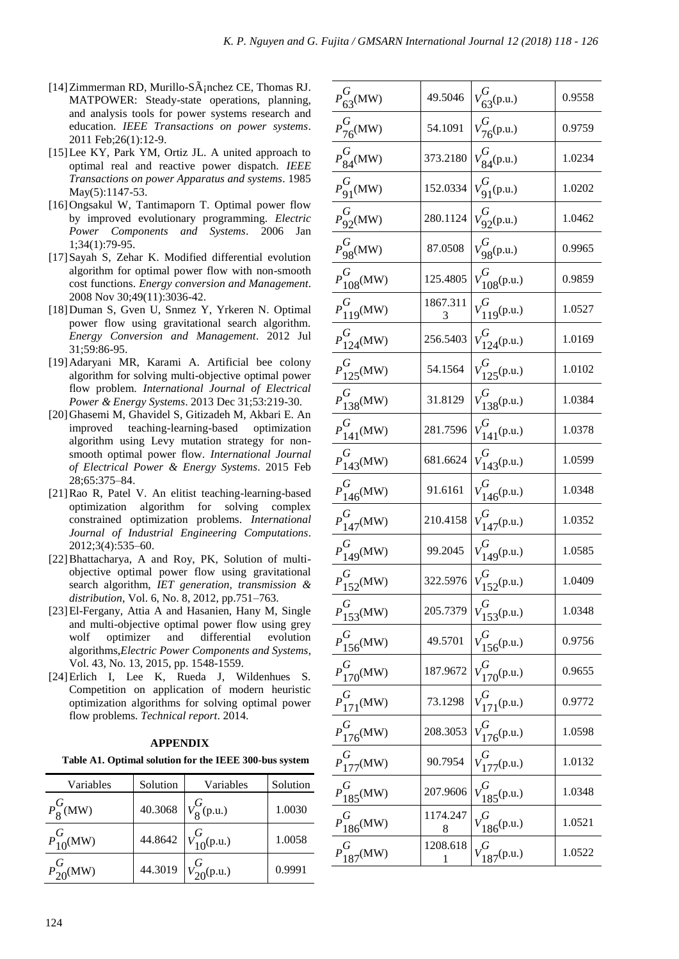- [14] Zimmerman RD, Murillo-S $\tilde{A}$ <sub>i</sub>nchez CE, Thomas RJ. MATPOWER: Steady-state operations, planning, and analysis tools for power systems research and education. *IEEE Transactions on power systems*. 2011 Feb;26(1):12-9.
- [15]Lee KY, Park YM, Ortiz JL. A united approach to optimal real and reactive power dispatch. *IEEE Transactions on power Apparatus and systems*. 1985 May(5):1147-53.
- [16]Ongsakul W, Tantimaporn T. Optimal power flow by improved evolutionary programming. *Electric Power Components and Systems*. 2006 Jan 1;34(1):79-95.
- [17]Sayah S, Zehar K. Modified differential evolution algorithm for optimal power flow with non-smooth cost functions. *Energy conversion and Management*. 2008 Nov 30;49(11):3036-42.
- [18]Duman S, Gven U, Snmez Y, Yrkeren N. Optimal power flow using gravitational search algorithm. *Energy Conversion and Management*. 2012 Jul 31;59:86-95.
- [19]Adaryani MR, Karami A. Artificial bee colony algorithm for solving multi-objective optimal power flow problem. *International Journal of Electrical Power & Energy Systems*. 2013 Dec 31;53:219-30.
- [20]Ghasemi M, Ghavidel S, Gitizadeh M, Akbari E. An improved teaching-learning-based optimization algorithm using Levy mutation strategy for nonsmooth optimal power flow. *International Journal of Electrical Power & Energy Systems*. 2015 Feb 28;65:375–84.
- [21]Rao R, Patel V. An elitist teaching-learning-based optimization algorithm for solving complex constrained optimization problems. *International Journal of Industrial Engineering Computations*. 2012;3(4):535–60.
- [22] Bhattacharya, A and Roy, PK, Solution of multiobjective optimal power flow using gravitational search algorithm, *IET generation, transmission & distribution*, Vol. 6, No. 8, 2012, pp.751–763.
- [23]El-Fergany, Attia A and Hasanien, Hany M, Single and multi-objective optimal power flow using grey wolf optimizer and differential evolution algorithms,*Electric Power Components and Systems*, Vol. 43, No. 13, 2015, pp. 1548-1559.
- [24]Erlich I, Lee K, Rueda J, Wildenhues S. Competition on application of modern heuristic optimization algorithms for solving optimal power flow problems. *Technical report*. 2014.

# **APPENDIX**

**Table A1. Optimal solution for the IEEE 300-bus system**

| Variables         | Solution | Variables                   | Solution |
|-------------------|----------|-----------------------------|----------|
| $P_{8}^{G}(MW)$   |          | 40.3068 $V_8^G(p.u.)$       | 1.0030   |
| $P_{10}^{G}$ (MW) |          | 44.8642 $V_{10}^{G}$ (p.u.) | 1.0058   |
| $P_{20}^{G}$ (MW) |          | 44.3019 $V_{20}^{G}$ (p.u.) | 0.9991   |

| $\boldsymbol{P}^G$<br>$63$ <sup>(MW)</sup> | 49.5046       | $V^{G}$<br>63(p.u.)     | 0.9558 |
|--------------------------------------------|---------------|-------------------------|--------|
| $P_{76}^{G}$ (MW)                          | 54.1091       | $V_{76}^{G}$ (p.u.)     | 0.9759 |
| $P_{84}^G(MW)$                             | 373.2180      | $V_{84}^{O}(p.u.)$      | 1.0234 |
| $P_{91}^G(MW)$                             | 152.0334      | $v_{91}^G(p.u.)$        | 1.0202 |
| $P_{92}^G(MW)$                             | 280.1124      | $V_{92}^{G}$ (p.u.)     | 1.0462 |
| $P_{98}^G(MW)$                             | 87.0508       | $V_{98}^G(p.u.)$        | 0.9965 |
| $P_{108}^{G}$ (MW)                         | 125.4805      | $v_{108}^{G}$ (p.u.)    | 0.9859 |
| $P_{119}^G(MW)$                            | 1867.311<br>3 | $v_{119}^G(p.u.)$       | 1.0527 |
| $P^G$<br>$124^{\text{(MW)}}$               | 256.5403      | $v_{124}^G(p.u.)$       | 1.0169 |
| $P^G$<br>$125^{(MW)}$                      | 54.1564       | $V^G$<br>$125^{(p.u.)}$ | 1.0102 |
| $P_{138}^{G}$ (MW)                         | 31.8129       | $v_{138}^G$ (p.u.)      | 1.0384 |
| $P_{141}^{G}$ (MW)                         | 281.7596      | $v_{141}^G(p.u.)$       | 1.0378 |
| $P_{143}^{G}$ (MW)                         | 681.6624      | $V_{143}^G(p.u.)$       | 1.0599 |
| $P^{\overline{G}}$<br>$146$ (MW)           | 91.6161       | $v_{146}^{G}$ (p.u.)    | 1.0348 |
| $P_{147}^{G}$ (MW)                         | 210.4158      | $v_{147}^G(p.u.)$       | 1.0352 |
| $P_{149}^G(MW)$                            | 99.2045       | $V_{149}^G(p.u.)$       | 1.0585 |
| $P_{152}^{G}(MW)$                          | 322.5976      | $v_{152}^G(p.u.)$       | 1.0409 |
| $P_{153}^G(MW)$                            | 205.7379      | $v_{153}^G(p.u.)$       | 1.0348 |
| $P_{156}^{G}$ (MW)                         | 49.5701       | $V_{156}^{G}$ (p.u.)    | 0.9756 |
| $P_{170}^{G}$ (MW)                         | 187.9672      | $V_{170}^{G}$ (p.u.)    | 0.9655 |
| $P_{171}^{G}$ (MW)                         | 73.1298       | $V_{171}^G(p.u.)$       | 0.9772 |
| $P_{176}^{G}$ (MW)                         | 208.3053      | $176^{(p.u.)}$          | 1.0598 |
| $P_{177}^G(MW)$                            | 90.7954       | $V_{177}^{G}$ (p.u.)    | 1.0132 |
| $P_{185}^{G}$ (MW)                         | 207.9606      | $V_{185}^{G}$ (p.u.)    | 1.0348 |
| $P_{186}^{G}$ (MW)                         | 1174.247<br>8 | $v_{186}^{G}$ (p.u.)    | 1.0521 |
| $P_{187}^{G}$ (MW)                         | 1208.618<br>1 | $V_{187}^G(p.u.)$       | 1.0522 |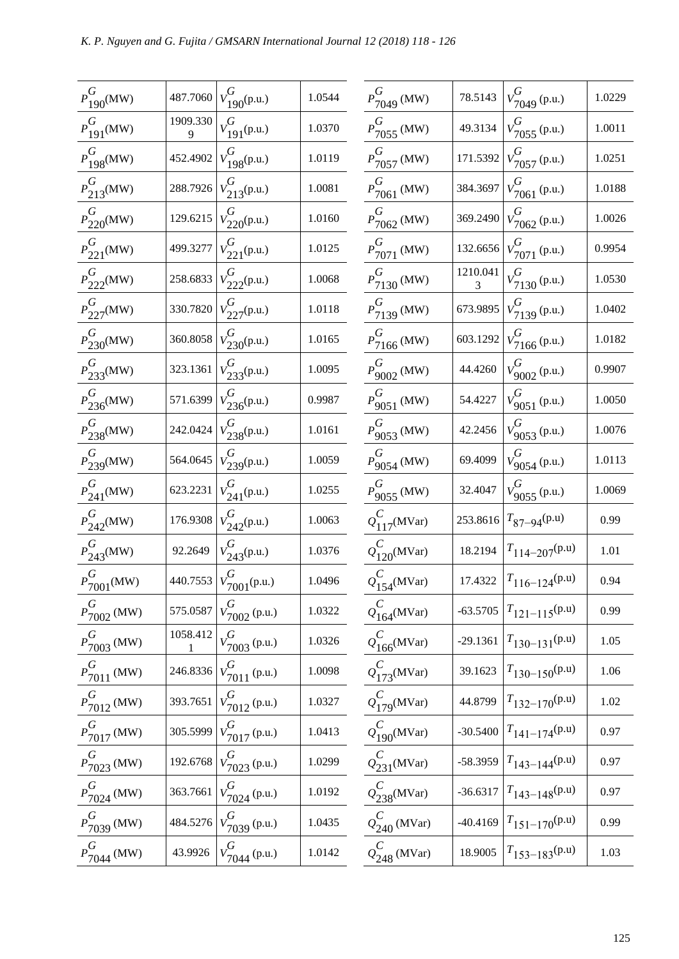| $P^G$<br>$190^{(MW)}$                 | 487.7060      | $V_{190}^{G}$ (p.u.)                                | 1.0544 | $\overline{l}$          |
|---------------------------------------|---------------|-----------------------------------------------------|--------|-------------------------|
| $P^{\overline{G}}$<br>$191^{(MW)}$    | 1909.330<br>9 | $v_{191}^G$ (p.u.)                                  | 1.0370 | $\overline{I}$          |
| $P^{\overline{G}}$<br>$198^{(MW)}$    | 452.4902      | $v_{198}^G(p.u.)$                                   | 1.0119 | $\overline{\mathbf{I}}$ |
| $P_{213}^{G}$ (MW)                    | 288.7926      | $v_{213}^G(p.u.)$                                   | 1.0081 | $\overline{I}$          |
| $P_{220}^{G}$ (MW)                    | 129.6215      | $V_{220}^{G}$ (p.u.)                                | 1.0160 | $\overline{I}$          |
| $P_{221}^G(MW)$                       | 499.3277      | $v_{221}^G(p.u.)$                                   | 1.0125 | $\overline{I}$          |
| $P_{222}^{G}(MW)$                     | 258.6833      | $v_{222}^G(p.u.)$                                   | 1.0068 | $\overline{l}$          |
| $P_{227}^{G}(MW)$                     | 330.7820      | $v_{227}^G(p.u.)$                                   | 1.0118 | $\overline{I}$          |
| $P_{230}^{G}$ (MW)                    | 360.8058      | $v_{230}^G(p.u.)$                                   | 1.0165 | $\overline{I}$          |
| $P_{233}^{G}$ (MW)                    | 323.1361      | $v_{233}^G(p.u.)$                                   | 1.0095 | $\overline{I}$          |
| $P_{236}^{G}$ (MW)                    | 571.6399      | $v_{236}^G(p.u.)$                                   | 0.9987 | $\overline{a}$          |
| $P_{238}^{G}$ (MW)                    | 242.0424      | $V_{238}^G(p.u.)$                                   | 1.0161 | $\overline{I}$          |
| $P_{239}^{G}$ (MW)                    | 564.0645      | $V_{239}^{G}$ (p.u.)                                | 1.0059 | $\overline{I}$          |
| $P_{241}^{G}$ (MW)                    | 623.2231      | $v_{241}^G$ (p.u.)                                  | 1.0255 | $\overline{I}$          |
| $P_{242}^{G}$ (MW)                    | 176.9308      | $v_{242}^G(p.u.)$                                   | 1.0063 | $\zeta$                 |
| $P_{243}^{G}(MW)$                     | 92.2649       | $V_{243}^{G}$ (p.u.)                                | 1.0376 | $\zeta$                 |
| $P^G_{7001}$ (MW)                     | 440.7553      | $v_{7001}^{G}$ (p.u.)                               | 1.0496 | $\zeta$                 |
| $\boldsymbol{P_{r}^G}$<br>$7002$ (MW) | 575.0587      | G<br>$V_{7002}^{V}$ (p.u.)                          | 1.0322 | $\zeta$                 |
| $P_{7003}^{G}$ (MW)                   | 1058.412<br>1 | $V_{7003}^{G}$ (p.u.)                               | 1.0326 | $\zeta$                 |
| $P_{7011}^{G}$ (MW)                   | 246.8336      | Ģ<br>$V_{7011}^{9}$ (p.u.)                          | 1.0098 | $\sqrt{2}$              |
| $P_{7012}^{G}$ (MW)                   | 393.7651      | Ģ<br>$V_{7012}^{-}$ (p.u.)                          | 1.0327 | $\zeta$                 |
| $P_{7017}^{G}$ (MW)                   | 305.5999      | $V_{7017}^{G}$ (p.u.)                               | 1.0413 | $\zeta$                 |
| $P^{\overline{G}}$<br>$7023$ (MW)     | 192.6768      | $V_{7023}^{G}$ (p.u.)                               | 1.0299 |                         |
| $P_{7024}^{G}$ (MW)                   | 363.7661      | $\overline{\mathcal{G}}$<br>$V_{7024}^{\nu}$ (p.u.) | 1.0192 | $\frac{1}{2}$           |
| $P_{7039}^{G}$ (MW)                   | 484.5276      | $V_{7039}^{G}$ (p.u.)                               | 1.0435 | $\zeta$                 |
| $P_{7044}^{G}$ (MW)                   | 43.9926       | $V_{7044}^{G}$ (p.u.)                               | 1.0142 | $\zeta$                 |
|                                       |               |                                                     |        |                         |

| $P_{7049}^{G}$ (MW)             | 78.5143       | $\overline{\mathcal{G}}$<br>$7049$ (p.u.) | 1.0229 |
|---------------------------------|---------------|-------------------------------------------|--------|
| $P_{7055}^{G}$ (MW)             | 49.3134       | $V_{7055}^{G}$ (p.u.)                     | 1.0011 |
| $P_{7057}^{G}$ (MW)             | 171.5392      | $V_{7057}^{G}$ (p.u.)                     | 1.0251 |
| $P_{7061}^{G}$ (MW)             | 384.3697      | $v_{7061}^{G}$ (p.u.)                     | 1.0188 |
| $P_{7062}^{G}$ (MW)             | 369.2490      | $V_{7062}^{G}$ (p.u.)                     | 1.0026 |
| $P_{7071}^{G}$ (MW)             | 132.6656      | $V_{7071}^{G}$ (p.u.)                     | 0.9954 |
| $P_{7130}^{G}$ (MW)             | 1210.041<br>3 | $V_{71}^{G}$ (p.u.)                       | 1.0530 |
| $P_{7139}^{G}$ (MW)             | 673.9895      | $V_{7139}^{G}$ (p.u.)                     | 1.0402 |
| $P_{71\underline{66}}^{G}$ (MW) | 603.1292      | $v_{7166}^{G}$ (p.u.)                     | 1.0182 |
| $P_{9002}^{G}$ (MW)             | 44.4260       | $V_{9002}^{G}$ (p.u.)                     | 0.9907 |
| $P_{9051}^{G}$ (MW)             | 54.4227       | $V_{9051}^{G}$ (p.u.)                     | 1.0050 |
| $P_{9023}^{G}$ (MW)             | 42.2456       | $V_{9053}^{G}$ (p.u.)                     | 1.0076 |
| $P_{9054}^{G}$ (MW)             | 69.4099       | $V_{9054}^{G}$ (p.u.)                     | 1.0113 |
| $P_{9055}^{G}$ (MW)             | 32.4047       | $V_{9055}^{G}$ (p.u.)                     | 1.0069 |
| $Q_{117}^C(MVar)$               | 253.8616      | $T_{87-94}$ (p.u)                         | 0.99   |
| $Q_{120}^C(MVar)$               | 18.2194       | $T_{114-207}$ (p.u)                       | 1.01   |
| $Q_{154}^C(MVar)$               | 17.4322       | $T_{116-124}$ (p.u)                       | 0.94   |
| $Q_{164}^C$ (MVar)              | $-63.5705$    | $T_{121-115}$ (p.u)                       | 0.99   |
| $Q_{166}^C$ (MVar)              | $-29.1361$    | $T_{130-131}$ (p.u)                       | 1.05   |
| $Q_{173}^C(MVar)$               | 39.1623       | $T_{130-150}$ (p.u)                       | 1.06   |
| $Q_{179}^C$ (MVar)              | 44.8799       | $T_{132-170}$ (p.u)                       | 1.02   |
| $Q_{190}^C$ (MVar)              | $-30.5400$    | $T_{141-174}$ (p.u)                       | 0.97   |
| $Q_{231}^C$ (MVar)              | $-58.3959$    | $T_{143-144}$ (p.u)                       | 0.97   |
| $Q^C_{238}$ (MVar)              | $-36.6317$    | $T_{143-148}$ (p.u)                       | 0.97   |
| $\varrho_{240}^C$ (MVar)        | $-40.4169$    | $T_{151-170}$ (p.u)                       | 0.99   |
| $Q^C_{248}$ (MVar)              | 18.9005       | $T_{153-183}$ (p.u)                       | 1.03   |